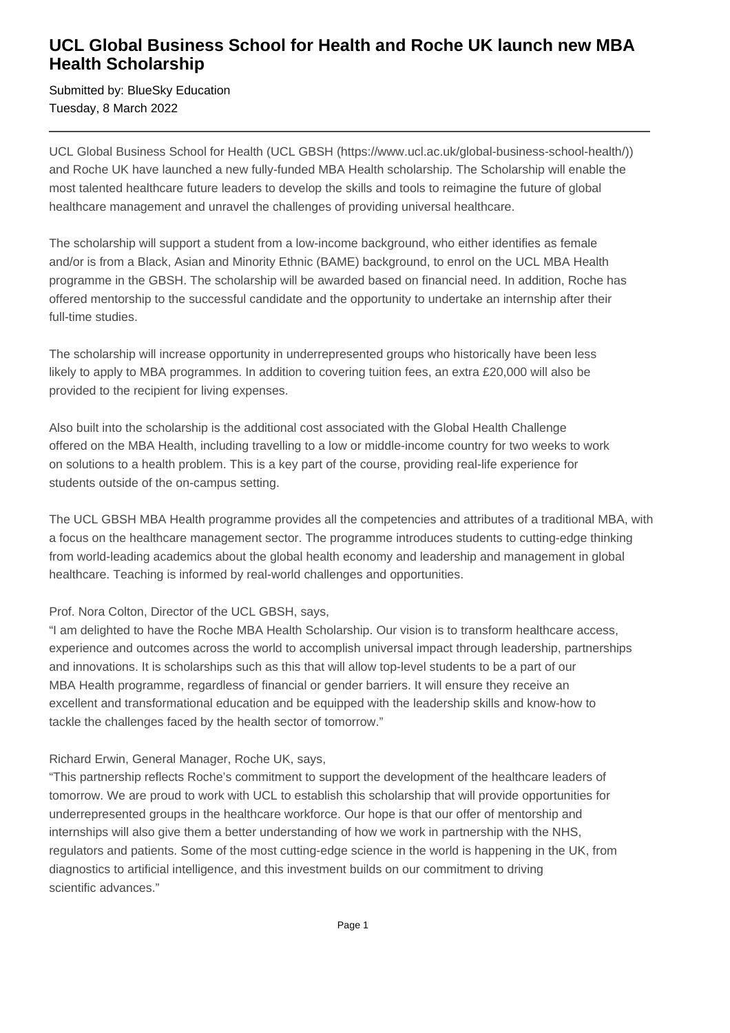## **UCL Global Business School for Health and Roche UK launch new MBA Health Scholarship**

Submitted by: BlueSky Education Tuesday, 8 March 2022

UCL Global Business School for Health (UCL GBSH (https://www.ucl.ac.uk/global-business-school-health/)) and Roche UK have launched a new fully-funded MBA Health scholarship. The Scholarship will enable the most talented healthcare future leaders to develop the skills and tools to reimagine the future of global healthcare management and unravel the challenges of providing universal healthcare.

The scholarship will support a student from a low-income background, who either identifies as female and/or is from a Black, Asian and Minority Ethnic (BAME) background, to enrol on the UCL MBA Health programme in the GBSH. The scholarship will be awarded based on financial need. In addition, Roche has offered mentorship to the successful candidate and the opportunity to undertake an internship after their full-time studies.

The scholarship will increase opportunity in underrepresented groups who historically have been less likely to apply to MBA programmes. In addition to covering tuition fees, an extra £20,000 will also be provided to the recipient for living expenses.

Also built into the scholarship is the additional cost associated with the Global Health Challenge offered on the MBA Health, including travelling to a low or middle-income country for two weeks to work on solutions to a health problem. This is a key part of the course, providing real-life experience for students outside of the on-campus setting.

The UCL GBSH MBA Health programme provides all the competencies and attributes of a traditional MBA, with a focus on the healthcare management sector. The programme introduces students to cutting-edge thinking from world-leading academics about the global health economy and leadership and management in global healthcare. Teaching is informed by real-world challenges and opportunities.

### Prof. Nora Colton, Director of the UCL GBSH, says,

"I am delighted to have the Roche MBA Health Scholarship. Our vision is to transform healthcare access, experience and outcomes across the world to accomplish universal impact through leadership, partnerships and innovations. It is scholarships such as this that will allow top-level students to be a part of our MBA Health programme, regardless of financial or gender barriers. It will ensure they receive an excellent and transformational education and be equipped with the leadership skills and know-how to tackle the challenges faced by the health sector of tomorrow."

### Richard Erwin, General Manager, Roche UK, says,

"This partnership reflects Roche's commitment to support the development of the healthcare leaders of tomorrow. We are proud to work with UCL to establish this scholarship that will provide opportunities for underrepresented groups in the healthcare workforce. Our hope is that our offer of mentorship and internships will also give them a better understanding of how we work in partnership with the NHS, regulators and patients. Some of the most cutting-edge science in the world is happening in the UK, from diagnostics to artificial intelligence, and this investment builds on our commitment to driving scientific advances."